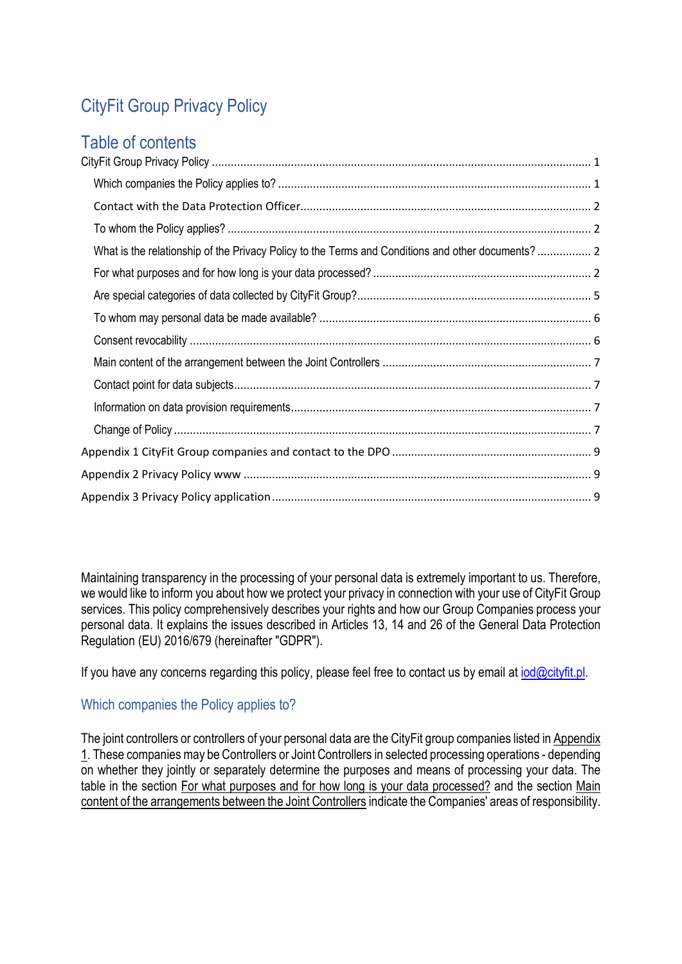# <span id="page-0-0"></span>CityFit Group Privacy Policy

# Table of contents

| What is the relationship of the Privacy Policy to the Terms and Conditions and other documents? 2 |  |
|---------------------------------------------------------------------------------------------------|--|
|                                                                                                   |  |
|                                                                                                   |  |
|                                                                                                   |  |
|                                                                                                   |  |
|                                                                                                   |  |
|                                                                                                   |  |
|                                                                                                   |  |
|                                                                                                   |  |
|                                                                                                   |  |
|                                                                                                   |  |
|                                                                                                   |  |

Maintaining transparency in the processing of your personal data is extremely important to us. Therefore, we would like to inform you about how we protect your privacy in connection with your use of CityFit Group services. This policy comprehensively describes your rights and how our Group Companies process your personal data. It explains the issues described in Articles 13, 14 and 26 of the General Data Protection Regulation (EU) 2016/679 (hereinafter "GDPR").

If you have any concerns regarding this policy, please feel free to contact us by email at  $iod@cityfit.pl$ .

## <span id="page-0-1"></span>Which companies the Policy applies to?

The joint controllers or controllers of your personal data are the CityFit group companies listed in Appendix 1. These companies may be Controllers or Joint Controllers in selected processing operations - depending on whether they jointly or separately determine the purposes and means of processing your data. The table in the section For what purposes and for how long is your data processed? and the section Main content of the arrangements between the Joint Controllers indicate the Companies' areas of responsibility.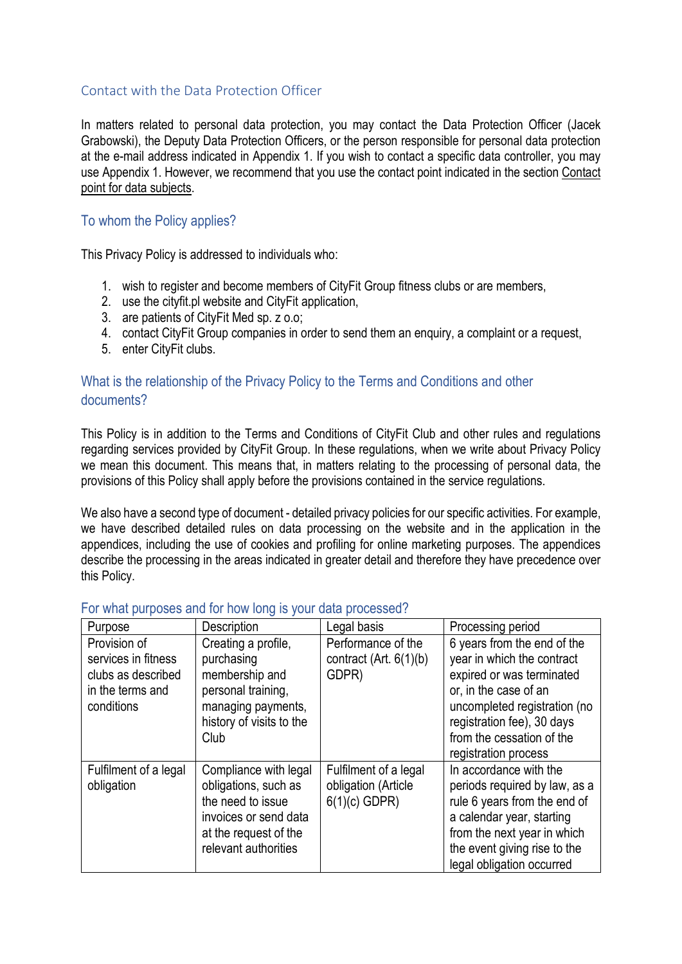#### <span id="page-1-0"></span>Contact with the Data Protection Officer

In matters related to personal data protection, you may contact the Data Protection Officer (Jacek Grabowski), the Deputy Data Protection Officers, or the person responsible for personal data protection at the e-mail address indicated in Appendix 1. If you wish to contact a specific data controller, you may use Appendix 1. However, we recommend that you use the contact point indicated in the section Contact point for data subjects.

#### <span id="page-1-1"></span>To whom the Policy applies?

This Privacy Policy is addressed to individuals who:

- 1. wish to register and become members of CityFit Group fitness clubs or are members,
- 2. use the cityfit.pl website and CityFit application,
- 3. are patients of CityFit Med sp. z o.o;
- 4. contact CityFit Group companies in order to send them an enquiry, a complaint or a request,
- 5. enter CityFit clubs.

# <span id="page-1-2"></span>What is the relationship of the Privacy Policy to the Terms and Conditions and other documents?

This Policy is in addition to the Terms and Conditions of CityFit Club and other rules and regulations regarding services provided by CityFit Group. In these regulations, when we write about Privacy Policy we mean this document. This means that, in matters relating to the processing of personal data, the provisions of this Policy shall apply before the provisions contained in the service regulations.

We also have a second type of document - detailed privacy policies for our specific activities. For example, we have described detailed rules on data processing on the website and in the application in the appendices, including the use of cookies and profiling for online marketing purposes. The appendices describe the processing in the areas indicated in greater detail and therefore they have precedence over this Policy.

| Purpose                                                                                     | Description                                                                                                                                  | Legal basis                                                     | Processing period                                                                                                                                                                                                                  |
|---------------------------------------------------------------------------------------------|----------------------------------------------------------------------------------------------------------------------------------------------|-----------------------------------------------------------------|------------------------------------------------------------------------------------------------------------------------------------------------------------------------------------------------------------------------------------|
| Provision of<br>services in fitness<br>clubs as described<br>in the terms and<br>conditions | Creating a profile,<br>purchasing<br>membership and<br>personal training,<br>managing payments,<br>history of visits to the<br>Club          | Performance of the<br>contract (Art. $6(1)(b)$<br>GDPR)         | 6 years from the end of the<br>year in which the contract<br>expired or was terminated<br>or, in the case of an<br>uncompleted registration (no<br>registration fee), 30 days<br>from the cessation of the<br>registration process |
| Fulfilment of a legal<br>obligation                                                         | Compliance with legal<br>obligations, such as<br>the need to issue<br>invoices or send data<br>at the request of the<br>relevant authorities | Fulfilment of a legal<br>obligation (Article<br>$6(1)(c)$ GDPR) | In accordance with the<br>periods required by law, as a<br>rule 6 years from the end of<br>a calendar year, starting<br>from the next year in which<br>the event giving rise to the<br>legal obligation occurred                   |

#### <span id="page-1-3"></span>For what purposes and for how long is your data processed?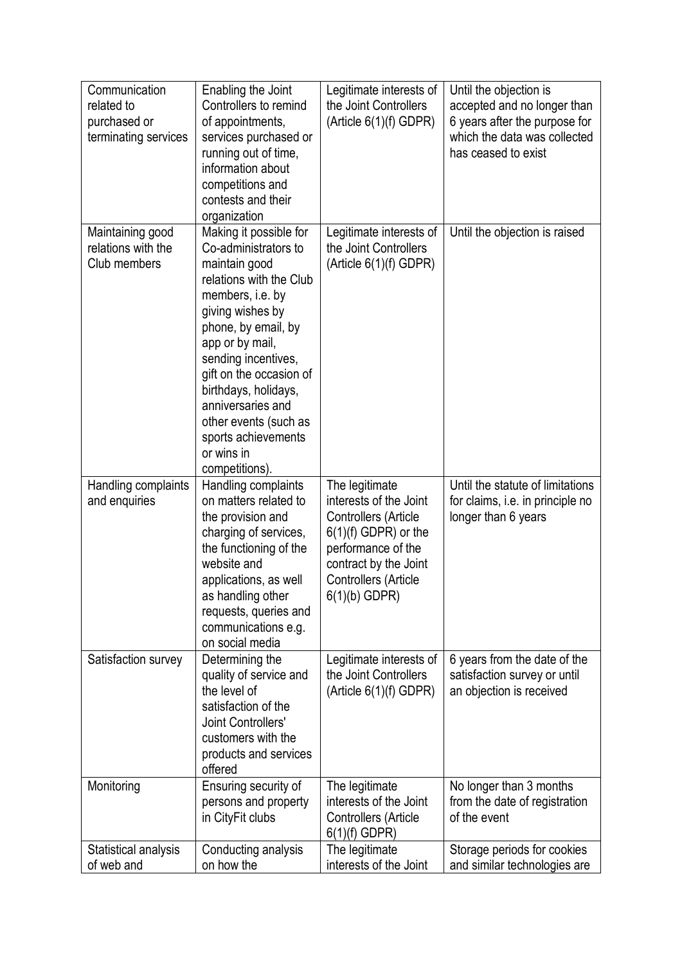| Communication                      | Enabling the Joint                           | Legitimate interests of                  | Until the objection is                                      |
|------------------------------------|----------------------------------------------|------------------------------------------|-------------------------------------------------------------|
| related to                         | Controllers to remind                        | the Joint Controllers                    | accepted and no longer than                                 |
| purchased or                       | of appointments,                             | (Article 6(1)(f) GDPR)                   | 6 years after the purpose for                               |
| terminating services               | services purchased or                        |                                          | which the data was collected                                |
|                                    | running out of time,                         |                                          | has ceased to exist                                         |
|                                    | information about                            |                                          |                                                             |
|                                    | competitions and                             |                                          |                                                             |
|                                    | contests and their                           |                                          |                                                             |
|                                    | organization                                 |                                          |                                                             |
| Maintaining good                   | Making it possible for                       | Legitimate interests of                  | Until the objection is raised                               |
| relations with the                 | Co-administrators to                         | the Joint Controllers                    |                                                             |
| Club members                       | maintain good                                | (Article 6(1)(f) GDPR)                   |                                                             |
|                                    | relations with the Club                      |                                          |                                                             |
|                                    | members, i.e. by                             |                                          |                                                             |
|                                    | giving wishes by                             |                                          |                                                             |
|                                    | phone, by email, by                          |                                          |                                                             |
|                                    | app or by mail,                              |                                          |                                                             |
|                                    | sending incentives,                          |                                          |                                                             |
|                                    | gift on the occasion of                      |                                          |                                                             |
|                                    | birthdays, holidays,                         |                                          |                                                             |
|                                    | anniversaries and                            |                                          |                                                             |
|                                    | other events (such as                        |                                          |                                                             |
|                                    | sports achievements<br>or wins in            |                                          |                                                             |
|                                    | competitions).                               |                                          |                                                             |
|                                    |                                              |                                          |                                                             |
|                                    |                                              |                                          |                                                             |
| Handling complaints                | Handling complaints                          | The legitimate                           | Until the statute of limitations                            |
| and enquiries                      | on matters related to                        | interests of the Joint                   | for claims, i.e. in principle no                            |
|                                    | the provision and                            | Controllers (Article                     | longer than 6 years                                         |
|                                    | charging of services,                        | $6(1)(f)$ GDPR) or the                   |                                                             |
|                                    | the functioning of the                       | performance of the                       |                                                             |
|                                    | website and                                  | contract by the Joint                    |                                                             |
|                                    | applications, as well                        | Controllers (Article                     |                                                             |
|                                    | as handling other                            | $6(1)(b)$ GDPR)                          |                                                             |
|                                    | requests, queries and<br>communications e.g. |                                          |                                                             |
|                                    | on social media                              |                                          |                                                             |
| Satisfaction survey                | Determining the                              | Legitimate interests of                  | 6 years from the date of the                                |
|                                    | quality of service and                       | the Joint Controllers                    | satisfaction survey or until                                |
|                                    | the level of                                 | (Article 6(1)(f) GDPR)                   | an objection is received                                    |
|                                    | satisfaction of the                          |                                          |                                                             |
|                                    | Joint Controllers'                           |                                          |                                                             |
|                                    | customers with the                           |                                          |                                                             |
|                                    | products and services                        |                                          |                                                             |
|                                    | offered                                      |                                          |                                                             |
| Monitoring                         | Ensuring security of                         | The legitimate                           | No longer than 3 months                                     |
|                                    | persons and property                         | interests of the Joint                   | from the date of registration                               |
|                                    | in CityFit clubs                             | Controllers (Article                     | of the event                                                |
|                                    |                                              | $6(1)(f)$ GDPR)                          |                                                             |
| Statistical analysis<br>of web and | Conducting analysis<br>on how the            | The legitimate<br>interests of the Joint | Storage periods for cookies<br>and similar technologies are |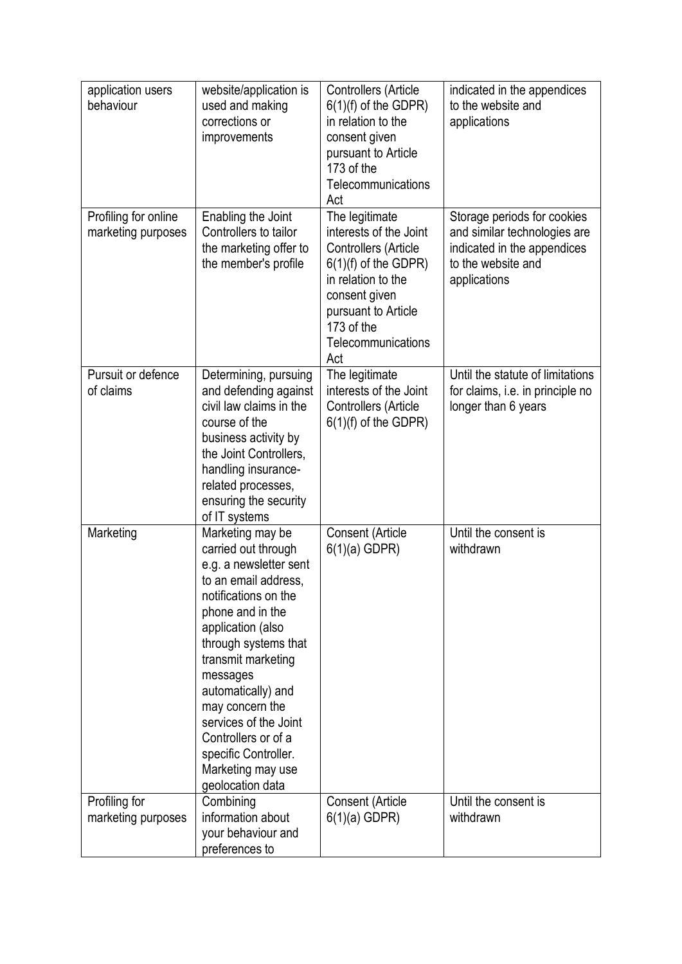| application users<br>behaviour             | website/application is<br>used and making<br>corrections or<br>improvements                                                                                                                                                                                                                                                                                                    | Controllers (Article<br>$6(1)(f)$ of the GDPR)<br>in relation to the<br>consent given<br>pursuant to Article<br>173 of the<br>Telecommunications<br>Act                                             | indicated in the appendices<br>to the website and<br>applications                                                                |
|--------------------------------------------|--------------------------------------------------------------------------------------------------------------------------------------------------------------------------------------------------------------------------------------------------------------------------------------------------------------------------------------------------------------------------------|-----------------------------------------------------------------------------------------------------------------------------------------------------------------------------------------------------|----------------------------------------------------------------------------------------------------------------------------------|
| Profiling for online<br>marketing purposes | Enabling the Joint<br>Controllers to tailor<br>the marketing offer to<br>the member's profile                                                                                                                                                                                                                                                                                  | The legitimate<br>interests of the Joint<br>Controllers (Article<br>$6(1)(f)$ of the GDPR)<br>in relation to the<br>consent given<br>pursuant to Article<br>173 of the<br>Telecommunications<br>Act | Storage periods for cookies<br>and similar technologies are<br>indicated in the appendices<br>to the website and<br>applications |
| Pursuit or defence<br>of claims            | Determining, pursuing<br>and defending against<br>civil law claims in the<br>course of the<br>business activity by<br>the Joint Controllers,<br>handling insurance-<br>related processes,<br>ensuring the security<br>of IT systems                                                                                                                                            | The legitimate<br>interests of the Joint<br>Controllers (Article<br>$6(1)(f)$ of the GDPR)                                                                                                          | Until the statute of limitations<br>for claims, i.e. in principle no<br>longer than 6 years                                      |
| Marketing                                  | Marketing may be<br>carried out through<br>e.g. a newsletter sent<br>to an email address.<br>notifications on the<br>phone and in the<br>application (also<br>through systems that<br>transmit marketing<br>messages<br>automatically) and<br>may concern the<br>services of the Joint<br>Controllers or of a<br>specific Controller.<br>Marketing may use<br>geolocation data | Consent (Article<br>$6(1)(a)$ GDPR)                                                                                                                                                                 | Until the consent is<br>withdrawn                                                                                                |
| Profiling for<br>marketing purposes        | Combining<br>information about<br>your behaviour and<br>preferences to                                                                                                                                                                                                                                                                                                         | Consent (Article<br>$6(1)(a)$ GDPR)                                                                                                                                                                 | Until the consent is<br>withdrawn                                                                                                |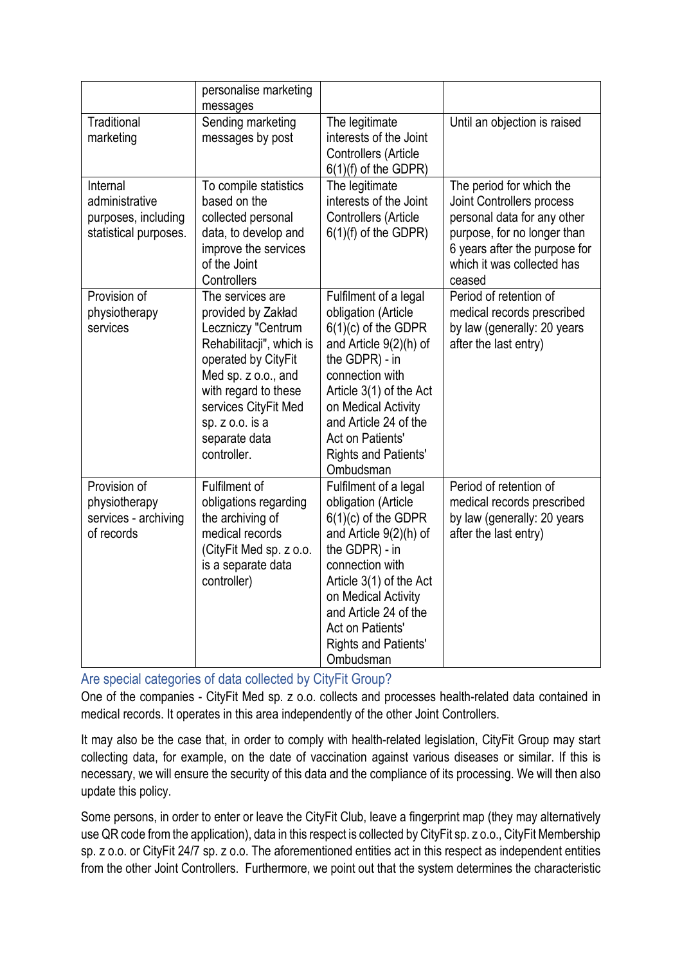|                                                                            | personalise marketing                                                                                                                                                                                                                     |                                                                                                                                                                                                                                                                                 |                                                                                                                                                                                              |
|----------------------------------------------------------------------------|-------------------------------------------------------------------------------------------------------------------------------------------------------------------------------------------------------------------------------------------|---------------------------------------------------------------------------------------------------------------------------------------------------------------------------------------------------------------------------------------------------------------------------------|----------------------------------------------------------------------------------------------------------------------------------------------------------------------------------------------|
|                                                                            | messages                                                                                                                                                                                                                                  |                                                                                                                                                                                                                                                                                 |                                                                                                                                                                                              |
| Traditional<br>marketing                                                   | Sending marketing<br>messages by post                                                                                                                                                                                                     | The legitimate<br>interests of the Joint<br>Controllers (Article<br>$6(1)(f)$ of the GDPR)                                                                                                                                                                                      | Until an objection is raised                                                                                                                                                                 |
| Internal<br>administrative<br>purposes, including<br>statistical purposes. | To compile statistics<br>based on the<br>collected personal<br>data, to develop and<br>improve the services<br>of the Joint<br>Controllers                                                                                                | The legitimate<br>interests of the Joint<br>Controllers (Article<br>$6(1)(f)$ of the GDPR)                                                                                                                                                                                      | The period for which the<br>Joint Controllers process<br>personal data for any other<br>purpose, for no longer than<br>6 years after the purpose for<br>which it was collected has<br>ceased |
| Provision of<br>physiotherapy<br>services                                  | The services are<br>provided by Zakład<br>Leczniczy "Centrum<br>Rehabilitacji", which is<br>operated by CityFit<br>Med sp. z o.o., and<br>with regard to these<br>services CityFit Med<br>sp. z o.o. is a<br>separate data<br>controller. | Fulfilment of a legal<br>obligation (Article<br>$6(1)(c)$ of the GDPR<br>and Article 9(2)(h) of<br>the GDPR) - in<br>connection with<br>Article 3(1) of the Act<br>on Medical Activity<br>and Article 24 of the<br>Act on Patients'<br><b>Rights and Patients'</b><br>Ombudsman | Period of retention of<br>medical records prescribed<br>by law (generally: 20 years<br>after the last entry)                                                                                 |
| Provision of<br>physiotherapy<br>services - archiving<br>of records        | Fulfilment of<br>obligations regarding<br>the archiving of<br>medical records<br>(CityFit Med sp. z o.o.<br>is a separate data<br>controller)                                                                                             | Fulfilment of a legal<br>obligation (Article<br>$6(1)(c)$ of the GDPR<br>and Article 9(2)(h) of<br>the GDPR) - in<br>connection with<br>Article 3(1) of the Act<br>on Medical Activity<br>and Article 24 of the<br>Act on Patients'<br><b>Rights and Patients'</b><br>Ombudsman | Period of retention of<br>medical records prescribed<br>by law (generally: 20 years<br>after the last entry)                                                                                 |

<span id="page-4-0"></span>Are special categories of data collected by CityFit Group?

One of the companies - CityFit Med sp. z o.o. collects and processes health-related data contained in medical records. It operates in this area independently of the other Joint Controllers.

It may also be the case that, in order to comply with health-related legislation, CityFit Group may start collecting data, for example, on the date of vaccination against various diseases or similar. If this is necessary, we will ensure the security of this data and the compliance of its processing. We will then also update this policy.

Some persons, in order to enter or leave the CityFit Club, leave a fingerprint map (they may alternatively use QR code from the application), data in this respect is collected by CityFit sp. z o.o., CityFit Membership sp. z o.o. or CityFit 24/7 sp. z o.o. The aforementioned entities act in this respect as independent entities from the other Joint Controllers. Furthermore, we point out that the system determines the characteristic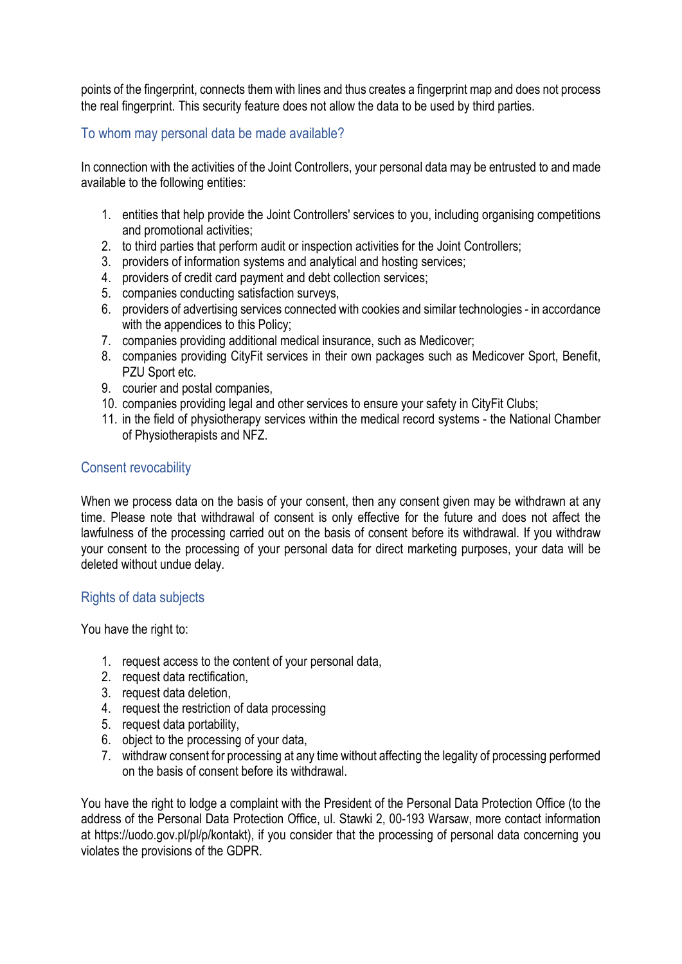points of the fingerprint, connects them with lines and thus creates a fingerprint map and does not process the real fingerprint. This security feature does not allow the data to be used by third parties.

## <span id="page-5-0"></span>To whom may personal data be made available?

In connection with the activities of the Joint Controllers, your personal data may be entrusted to and made available to the following entities:

- 1. entities that help provide the Joint Controllers' services to you, including organising competitions and promotional activities;
- 2. to third parties that perform audit or inspection activities for the Joint Controllers;
- 3. providers of information systems and analytical and hosting services;
- 4. providers of credit card payment and debt collection services;
- 5. companies conducting satisfaction surveys,
- 6. providers of advertising services connected with cookies and similar technologies in accordance with the appendices to this Policy;
- 7. companies providing additional medical insurance, such as Medicover;
- 8. companies providing CityFit services in their own packages such as Medicover Sport, Benefit, PZU Sport etc.
- 9. courier and postal companies,
- 10. companies providing legal and other services to ensure your safety in CityFit Clubs;
- 11. in the field of physiotherapy services within the medical record systems the National Chamber of Physiotherapists and NFZ.

#### <span id="page-5-1"></span>Consent revocability

When we process data on the basis of your consent, then any consent given may be withdrawn at any time. Please note that withdrawal of consent is only effective for the future and does not affect the lawfulness of the processing carried out on the basis of consent before its withdrawal. If you withdraw your consent to the processing of your personal data for direct marketing purposes, your data will be deleted without undue delay.

## Rights of data subjects

You have the right to:

- 1. request access to the content of your personal data,
- 2. request data rectification,
- 3. request data deletion,
- 4. request the restriction of data processing
- 5. request data portability,
- 6. object to the processing of your data,
- 7. withdraw consent for processing at any time without affecting the legality of processing performed on the basis of consent before its withdrawal.

You have the right to lodge a complaint with the President of the Personal Data Protection Office (to the address of the Personal Data Protection Office, ul. Stawki 2, 00-193 Warsaw, more contact information at https://uodo.gov.pl/pl/p/kontakt), if you consider that the processing of personal data concerning you violates the provisions of the GDPR.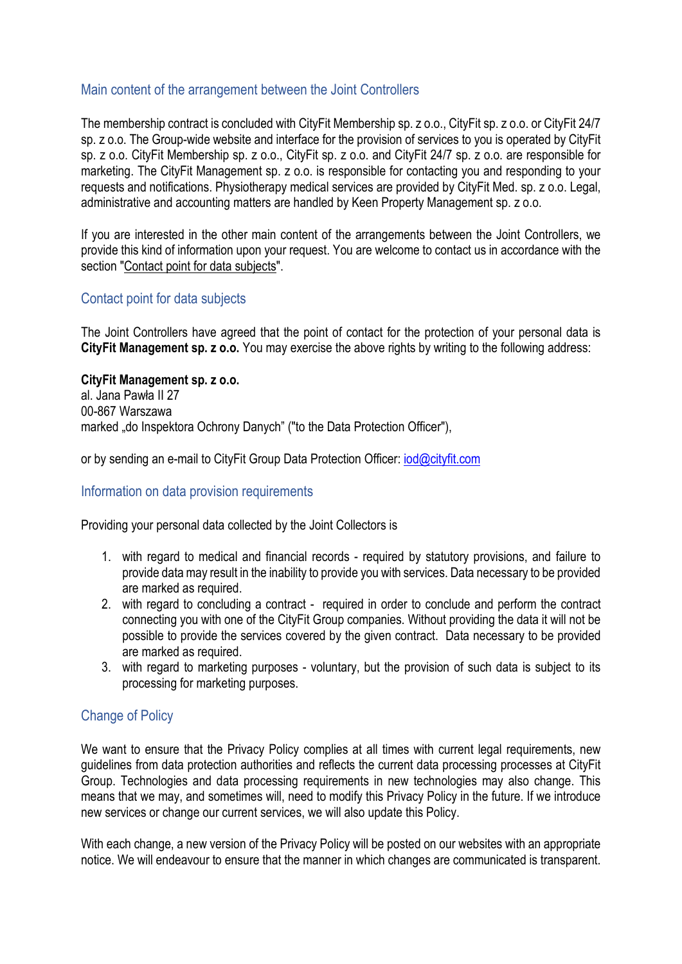#### <span id="page-6-0"></span>Main content of the arrangement between the Joint Controllers

The membership contract is concluded with CityFit Membership sp. z o.o., CityFit sp. z o.o. or CityFit 24/7 sp. z o.o. The Group-wide website and interface for the provision of services to you is operated by CityFit sp. z o.o. CityFit Membership sp. z o.o., CityFit sp. z o.o. and CityFit 24/7 sp. z o.o. are responsible for marketing. The CityFit Management sp. z o.o. is responsible for contacting you and responding to your requests and notifications. Physiotherapy medical services are provided by CityFit Med. sp. z o.o. Legal, administrative and accounting matters are handled by Keen Property Management sp. z o.o.

If you are interested in the other main content of the arrangements between the Joint Controllers, we provide this kind of information upon your request. You are welcome to contact us in accordance with the section "Contact point for data subjects".

#### <span id="page-6-1"></span>Contact point for data subjects

The Joint Controllers have agreed that the point of contact for the protection of your personal data is **CityFit Management sp. z o.o.** You may exercise the above rights by writing to the following address:

#### **CityFit Management sp. z o.o.**

al. Jana Pawła II 27 00-867 Warszawa marked "do Inspektora Ochrony Danych" ("to the Data Protection Officer"),

or by sending an e-mail to CityFit Group Data Protection Officer: [iod@cityfit.com](mailto:iod@cityfit.com)

#### <span id="page-6-2"></span>Information on data provision requirements

Providing your personal data collected by the Joint Collectors is

- 1. with regard to medical and financial records required by statutory provisions, and failure to provide data may result in the inability to provide you with services. Data necessary to be provided are marked as required.
- 2. with regard to concluding a contract required in order to conclude and perform the contract connecting you with one of the CityFit Group companies. Without providing the data it will not be possible to provide the services covered by the given contract. Data necessary to be provided are marked as required.
- 3. with regard to marketing purposes voluntary, but the provision of such data is subject to its processing for marketing purposes.

## <span id="page-6-3"></span>Change of Policy

We want to ensure that the Privacy Policy complies at all times with current legal requirements, new guidelines from data protection authorities and reflects the current data processing processes at CityFit Group. Technologies and data processing requirements in new technologies may also change. This means that we may, and sometimes will, need to modify this Privacy Policy in the future. If we introduce new services or change our current services, we will also update this Policy.

With each change, a new version of the Privacy Policy will be posted on our websites with an appropriate notice. We will endeavour to ensure that the manner in which changes are communicated is transparent.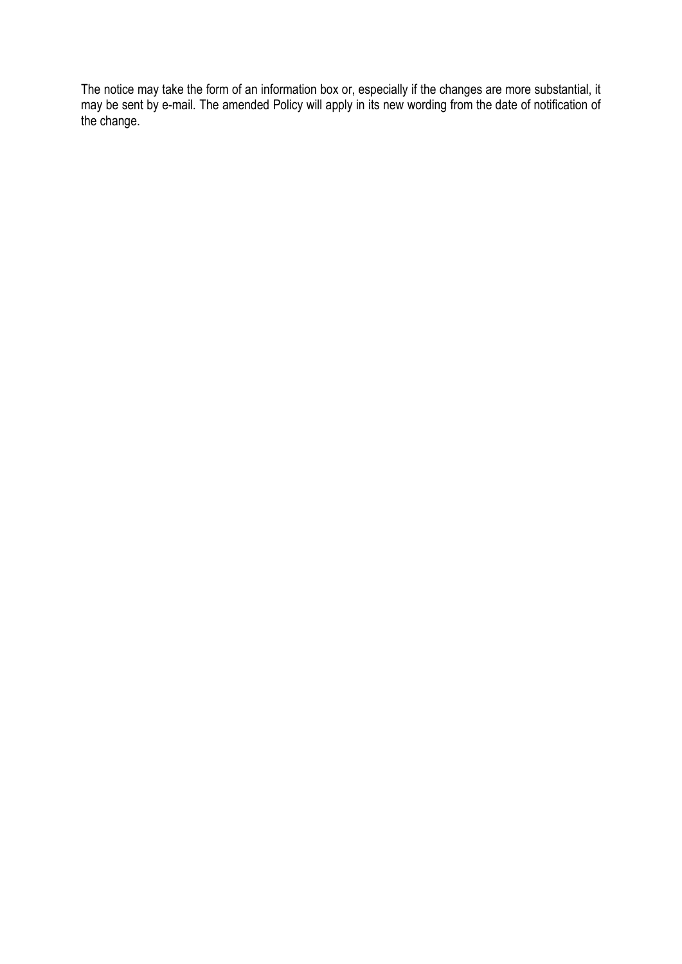The notice may take the form of an information box or, especially if the changes are more substantial, it may be sent by e-mail. The amended Policy will apply in its new wording from the date of notification of the change.